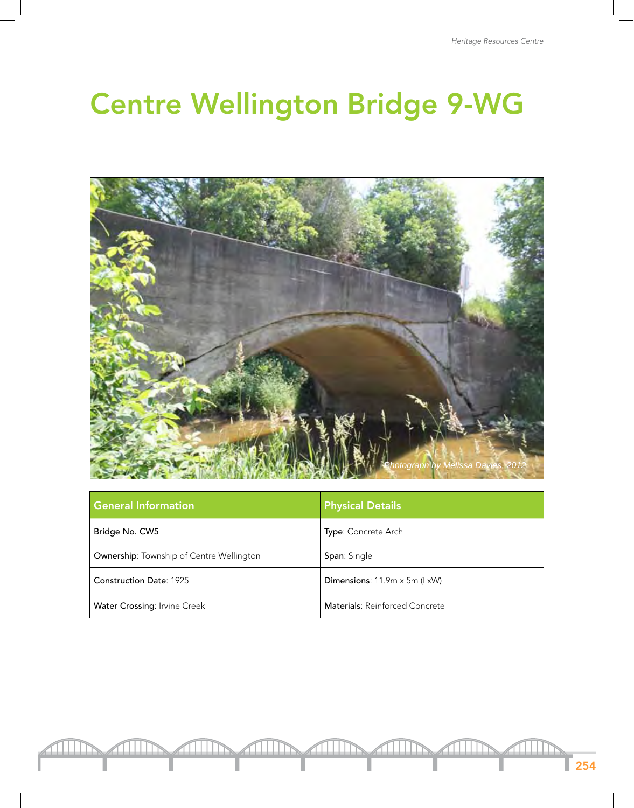## Centre Wellington Bridge 9-WG



| <b>General Information</b>                      | <b>Physical Details</b>        |
|-------------------------------------------------|--------------------------------|
| Bridge No. CW5                                  | <b>Type: Concrete Arch</b>     |
| <b>Ownership:</b> Township of Centre Wellington | <b>Span: Single</b>            |
| <b>Construction Date: 1925</b>                  | Dimensions: 11.9m x 5m (LxW)   |
| <b>Water Crossing: Irvine Creek</b>             | Materials: Reinforced Concrete |

<u> HIII</u>

 $\Gamma$  254